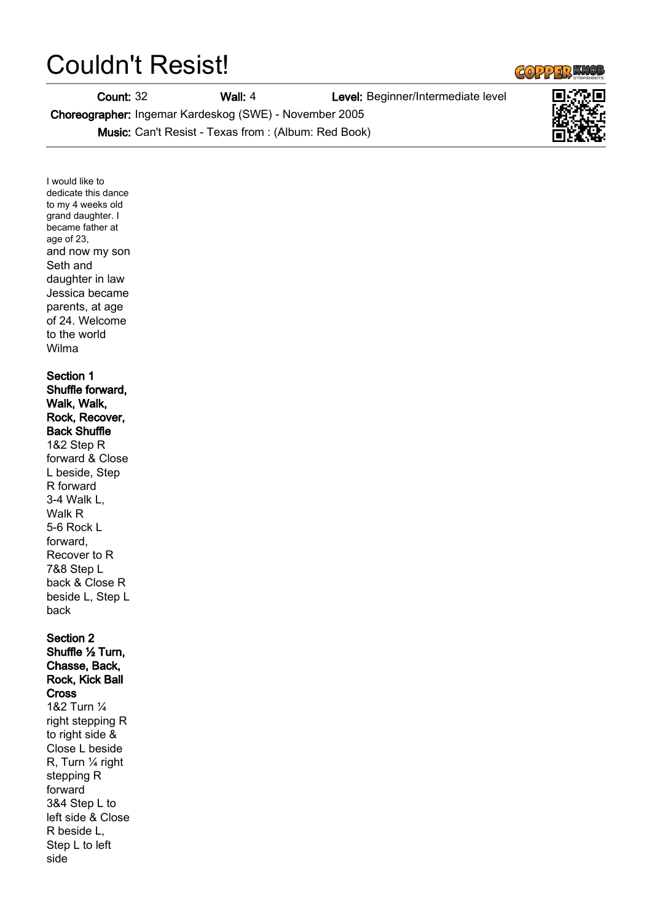## Couldn't Resist!

Count: 32 Wall: 4 Level: Beginner/Intermediate level

Choreographer: Ingemar Kardeskog (SWE) - November 2005

Music: Can't Resist - Texas from : (Album: Red Book)

I would like to dedicate this dance to my 4 weeks old grand daughter. I became father at age of 23, and now my son Seth and daughter in law Jessica became parents, at age of 24. Welcome to the world Wilma

## Section 1 Shuffle forward, Walk, Walk,

## Rock, Recover,

Back Shuffle 1&2 Step R forward & Close L beside, Step R forward 3-4 Walk L, Walk R 5-6 Rock L forward, Recover to R 7&8 Step L back & Close R beside L, Step L back

Section 2 Shuffle ½ Turn, Chasse, Back, Rock, Kick Ball **Cross** 1&2 Turn ¼ right stepping R to right side & Close L beside R, Turn ¼ right stepping R forward 3&4 Step L to left side & Close R beside L, Step L to left side